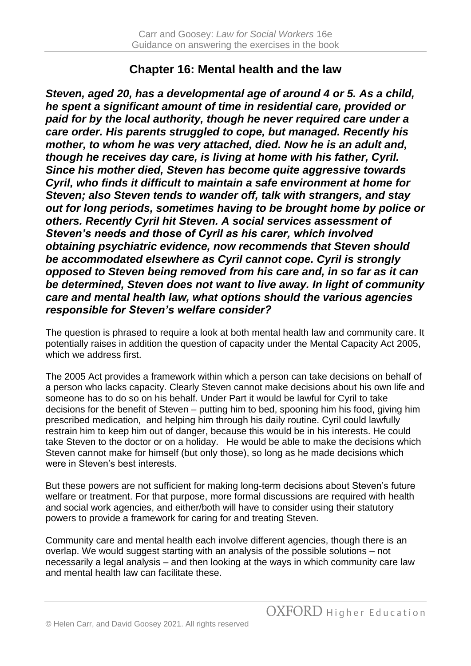## **Chapter 16: Mental health and the law**

*Steven, aged 20, has a developmental age of around 4 or 5. As a child, he spent a significant amount of time in residential care, provided or paid for by the local authority, though he never required care under a care order. His parents struggled to cope, but managed. Recently his mother, to whom he was very attached, died. Now he is an adult and, though he receives day care, is living at home with his father, Cyril. Since his mother died, Steven has become quite aggressive towards Cyril, who finds it difficult to maintain a safe environment at home for Steven; also Steven tends to wander off, talk with strangers, and stay out for long periods, sometimes having to be brought home by police or others. Recently Cyril hit Steven. A social services assessment of Steven's needs and those of Cyril as his carer, which involved obtaining psychiatric evidence, now recommends that Steven should be accommodated elsewhere as Cyril cannot cope. Cyril is strongly opposed to Steven being removed from his care and, in so far as it can be determined, Steven does not want to live away. In light of community care and mental health law, what options should the various agencies responsible for Steven's welfare consider?*

The question is phrased to require a look at both mental health law and community care. It potentially raises in addition the question of capacity under the Mental Capacity Act 2005, which we address first.

The 2005 Act provides a framework within which a person can take decisions on behalf of a person who lacks capacity. Clearly Steven cannot make decisions about his own life and someone has to do so on his behalf. Under Part it would be lawful for Cyril to take decisions for the benefit of Steven – putting him to bed, spooning him his food, giving him prescribed medication, and helping him through his daily routine. Cyril could lawfully restrain him to keep him out of danger, because this would be in his interests. He could take Steven to the doctor or on a holiday. He would be able to make the decisions which Steven cannot make for himself (but only those), so long as he made decisions which were in Steven's best interests.

But these powers are not sufficient for making long-term decisions about Steven's future welfare or treatment. For that purpose, more formal discussions are required with health and social work agencies, and either/both will have to consider using their statutory powers to provide a framework for caring for and treating Steven.

Community care and mental health each involve different agencies, though there is an overlap. We would suggest starting with an analysis of the possible solutions – not necessarily a legal analysis – and then looking at the ways in which community care law and mental health law can facilitate these.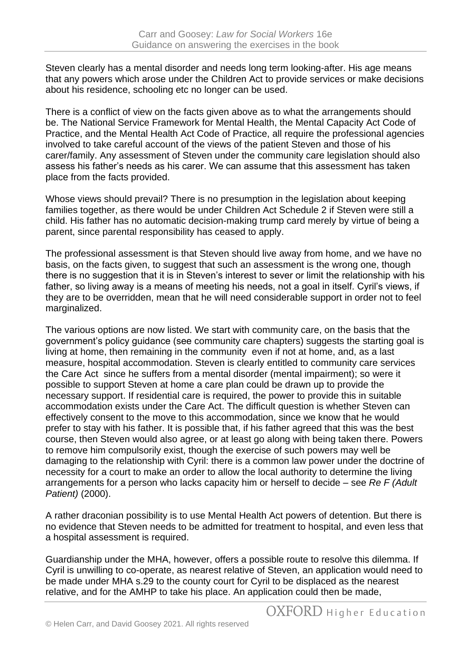Steven clearly has a mental disorder and needs long term looking-after. His age means that any powers which arose under the Children Act to provide services or make decisions about his residence, schooling etc no longer can be used.

There is a conflict of view on the facts given above as to what the arrangements should be. The National Service Framework for Mental Health, the Mental Capacity Act Code of Practice, and the Mental Health Act Code of Practice, all require the professional agencies involved to take careful account of the views of the patient Steven and those of his carer/family. Any assessment of Steven under the community care legislation should also assess his father's needs as his carer. We can assume that this assessment has taken place from the facts provided.

Whose views should prevail? There is no presumption in the legislation about keeping families together, as there would be under Children Act Schedule 2 if Steven were still a child. His father has no automatic decision-making trump card merely by virtue of being a parent, since parental responsibility has ceased to apply.

The professional assessment is that Steven should live away from home, and we have no basis, on the facts given, to suggest that such an assessment is the wrong one, though there is no suggestion that it is in Steven's interest to sever or limit the relationship with his father, so living away is a means of meeting his needs, not a goal in itself. Cyril's views, if they are to be overridden, mean that he will need considerable support in order not to feel marginalized.

The various options are now listed. We start with community care, on the basis that the government's policy guidance (see community care chapters) suggests the starting goal is living at home, then remaining in the community even if not at home, and, as a last measure, hospital accommodation. Steven is clearly entitled to community care services the Care Act since he suffers from a mental disorder (mental impairment); so were it possible to support Steven at home a care plan could be drawn up to provide the necessary support. If residential care is required, the power to provide this in suitable accommodation exists under the Care Act. The difficult question is whether Steven can effectively consent to the move to this accommodation, since we know that he would prefer to stay with his father. It is possible that, if his father agreed that this was the best course, then Steven would also agree, or at least go along with being taken there. Powers to remove him compulsorily exist, though the exercise of such powers may well be damaging to the relationship with Cyril: there is a common law power under the doctrine of necessity for a court to make an order to allow the local authority to determine the living arrangements for a person who lacks capacity him or herself to decide – see *Re F (Adult Patient)* (2000).

A rather draconian possibility is to use Mental Health Act powers of detention. But there is no evidence that Steven needs to be admitted for treatment to hospital, and even less that a hospital assessment is required.

Guardianship under the MHA, however, offers a possible route to resolve this dilemma. If Cyril is unwilling to co-operate, as nearest relative of Steven, an application would need to be made under MHA s.29 to the county court for Cyril to be displaced as the nearest relative, and for the AMHP to take his place. An application could then be made,